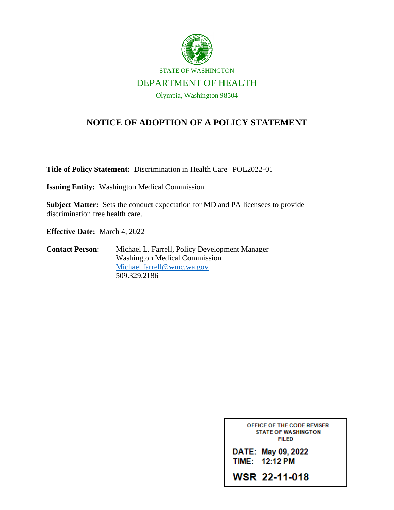

#### **NOTICE OF ADOPTION OF A POLICY STATEMENT**

**Title of Policy Statement:** Discrimination in Health Care | POL2022-01

**Issuing Entity:** Washington Medical Commission

**Subject Matter:** Sets the conduct expectation for MD and PA licensees to provide discrimination free health care.

**Effective Date:** March 4, 2022

**Contact Person**: Michael L. Farrell, Policy Development Manager Washington Medical Commission [Michael.farrell@wmc.wa.gov](mailto:Michael.farrell@wmc.wa.gov) 509.329.2186

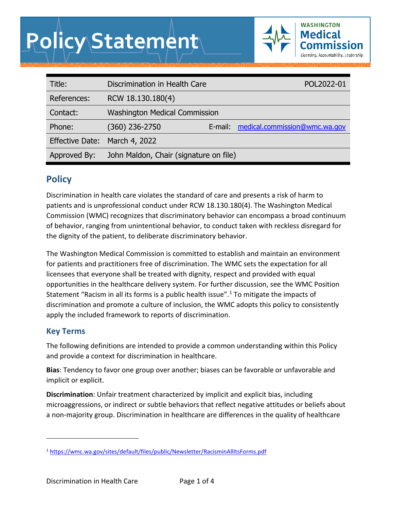

| Title:       | Discrimination in Health Care          |  | POL2022-01                            |
|--------------|----------------------------------------|--|---------------------------------------|
| References:  | RCW 18.130.180(4)                      |  |                                       |
| Contact:     | <b>Washington Medical Commission</b>   |  |                                       |
| Phone:       | (360) 236-2750                         |  | E-mail: medical.commission@wmc.wa.gov |
|              | Effective Date: March 4, 2022          |  |                                       |
| Approved By: | John Maldon, Chair (signature on file) |  |                                       |

# **Policy**

Discrimination in health care violates the standard of care and presents a risk of harm to patients and is unprofessional conduct under RCW 18.130.180(4). The Washington Medical Commission (WMC) recognizes that discriminatory behavior can encompass a broad continuum of behavior, ranging from unintentional behavior, to conduct taken with reckless disregard for the dignity of the patient, to deliberate discriminatory behavior.

The Washington Medical Commission is committed to establish and maintain an environment for patients and practitioners free of discrimination. The WMC sets the expectation for all licensees that everyone shall be treated with dignity, respect and provided with equal opportunities in the healthcare delivery system. For further discussion, see the WMC Position Statement "Racism in all its forms is a public health issue".[1](#page-1-0) To mitigate the impacts of discrimination and promote a culture of inclusion, the WMC adopts this policy to consistently apply the included framework to reports of discrimination.

#### **Key Terms**

The following definitions are intended to provide a common understanding within this Policy and provide a context for discrimination in healthcare.

**Bias**: Tendency to favor one group over another; biases can be favorable or unfavorable and implicit or explicit.

**Discrimination**: Unfair treatment characterized by implicit and explicit bias, including microaggressions, or indirect or subtle behaviors that reflect negative attitudes or beliefs about a non-majority group. Discrimination in healthcare are differences in the quality of healthcare

<span id="page-1-0"></span><sup>1</sup> <https://wmc.wa.gov/sites/default/files/public/Newsletter/RacisminAllItsForms.pdf>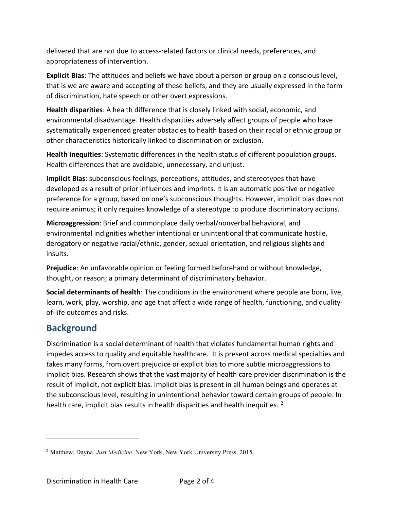delivered that are not due to access-related factors or clinical needs, preferences, and appropriateness of intervention.

**Explicit Bias**: The attitudes and beliefs we have about a person or group on a conscious level, that is we are aware and accepting of these beliefs, and they are usually expressed in the form of discrimination, hate speech or other overt expressions.

**Health disparities**: A health difference that is closely linked with social, economic, and environmental disadvantage. Health disparities adversely affect groups of people who have systematically experienced greater obstacles to health based on their racial or ethnic group or other characteristics historically linked to discrimination or exclusion.

**Health inequities**: Systematic differences in the health status of different population groups. Health differences that are avoidable, unnecessary, and unjust.

**Implicit Bias**: subconscious feelings, perceptions, attitudes, and stereotypes that have developed as a result of prior influences and imprints. It is an automatic positive or negative preference for a group, based on one's subconscious thoughts. However, implicit bias does not require animus; it only requires knowledge of a stereotype to produce discriminatory actions.

**Microaggression**: Brief and commonplace daily verbal/nonverbal behavioral, and environmental indignities whether intentional or unintentional that communicate hostile, derogatory or negative racial/ethnic, gender, sexual orientation, and religious slights and insults.

**Prejudice**: An unfavorable opinion or feeling formed beforehand or without knowledge, thought, or reason; a primary determinant of discriminatory behavior.

**Social determinants of health**: The conditions in the environment where people are born, live, learn, work, play, worship, and age that affect a wide range of health, functioning, and qualityof-life outcomes and risks.

# **Background**

Discrimination is a social determinant of health that violates fundamental human rights and impedes access to quality and equitable healthcare. It is present across medical specialties and takes many forms, from overt prejudice or explicit bias to more subtle microaggressions to implicit bias. Research shows that the vast majority of health care provider discrimination is the result of implicit, not explicit bias. Implicit bias is present in all human beings and operates at the subconscious level, resulting in unintentional behavior toward certain groups of people. In health care, implicit bias results in health disparities and health inequities. <sup>[2](#page-2-0)</sup>

<span id="page-2-0"></span><sup>2</sup> Matthew, Dayna. *Just Medicine*. New York, New York University Press, 2015.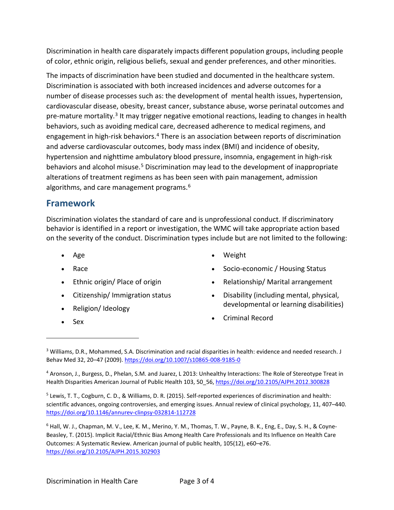Discrimination in health care disparately impacts different population groups, including people of color, ethnic origin, religious beliefs, sexual and gender preferences, and other minorities.

The impacts of discrimination have been studied and documented in the healthcare system. Discrimination is associated with both increased incidences and adverse outcomes for a number of disease processes such as: the development of mental health issues, hypertension, cardiovascular disease, obesity, breast cancer, substance abuse, worse perinatal outcomes and pre-mature mortality.<sup>[3](#page-3-0)</sup> It may trigger negative emotional reactions, leading to changes in health behaviors, such as avoiding medical care, decreased adherence to medical regimens, and engagement in high-risk behaviors.<sup>[4](#page-3-1)</sup> There is an association between reports of discrimination and adverse cardiovascular outcomes, body mass index (BMI) and incidence of obesity, hypertension and nighttime ambulatory blood pressure, insomnia, engagement in high-risk behaviors and alcohol misuse.<sup>[5](#page-3-2)</sup> Discrimination may lead to the development of inappropriate alterations of treatment regimens as has been seen with pain management, admission algorithms, and care management programs.<sup>[6](#page-3-3)</sup>

### **Framework**

Discrimination violates the standard of care and is unprofessional conduct. If discriminatory behavior is identified in a report or investigation, the WMC will take appropriate action based on the severity of the conduct. Discrimination types include but are not limited to the following:

- Age
- Race
- Ethnic origin/ Place of origin
- Citizenship/ Immigration status
- Religion/ Ideology
- Sex
- Weight
- Socio-economic / Housing Status
- Relationship/ Marital arrangement
- Disability (including mental, physical, developmental or learning disabilities)
- Criminal Record

<span id="page-3-0"></span> $3$  Williams, D.R., Mohammed, S.A. Discrimination and racial disparities in health: evidence and needed research. J Behav Med 32, 20–47 (2009).<https://doi.org/10.1007/s10865-008-9185-0>

<span id="page-3-1"></span><sup>4</sup> Aronson, J., Burgess, D., Phelan, S.M. and Juarez, L 2013: Unhealthy Interactions: The Role of Stereotype Treat in Health Disparities American Journal of Public Health 103, 50\_56[, https://doi.org/10.2105/AJPH.2012.300828](https://doi.org/10.2105/AJPH.2012.300828)

<span id="page-3-2"></span> $<sup>5</sup>$  Lewis, T. T., Cogburn, C. D., & Williams, D. R. (2015). Self-reported experiences of discrimination and health:</sup> scientific advances, ongoing controversies, and emerging issues. Annual review of clinical psychology, 11, 407–440. <https://doi.org/10.1146/annurev-clinpsy-032814-112728>

<span id="page-3-3"></span><sup>6</sup> Hall, W. J., Chapman, M. V., Lee, K. M., Merino, Y. M., Thomas, T. W., Payne, B. K., Eng, E., Day, S. H., & Coyne-Beasley, T. (2015). Implicit Racial/Ethnic Bias Among Health Care Professionals and Its Influence on Health Care Outcomes: A Systematic Review. American journal of public health, 105(12), e60–e76. <https://doi.org/10.2105/AJPH.2015.302903>